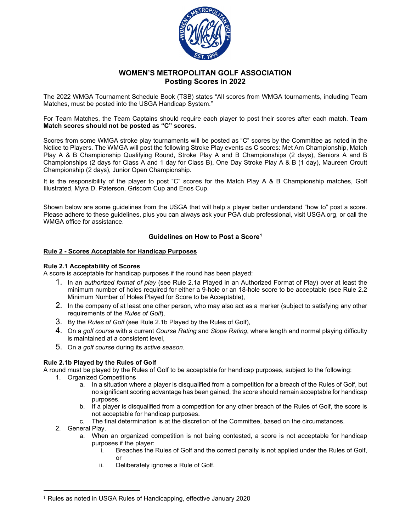

# **WOMEN'S METROPOLITAN GOLF ASSOCIATION Posting Scores in 2022**

The 2022 WMGA Tournament Schedule Book (TSB) states "All scores from WMGA tournaments, including Team Matches, must be posted into the USGA Handicap System."

For Team Matches, the Team Captains should require each player to post their scores after each match. **Team Match scores should not be posted as "C" scores.** 

Scores from some WMGA stroke play tournaments will be posted as "C" scores by the Committee as noted in the Notice to Players. The WMGA will post the following Stroke Play events as C scores: Met Am Championship, Match Play A & B Championship Qualifying Round, Stroke Play A and B Championships (2 days), Seniors A and B Championships (2 days for Class A and 1 day for Class B), One Day Stroke Play A & B (1 day), Maureen Orcutt Championship (2 days), Junior Open Championship.

It is the responsibility of the player to post "C" scores for the Match Play A & B Championship matches, Golf Illustrated, Myra D. Paterson, Griscom Cup and Enos Cup.

Shown below are some guidelines from the USGA that will help a player better understand "how to" post a score. Please adhere to these guidelines, plus you can always ask your PGA club professional, visit USGA.org, or call the WMGA office for assistance.

# **Guidelines on How to Post a Score[1](#page-0-0)**

#### **Rule 2 - Scores Acceptable for Handicap Purposes**

### **Rule 2.1 Acceptability of Scores**

A score is acceptable for handicap purposes if the round has been played:

- 1. In an *authorized format of play* (see Rule 2.1a Played in an Authorized Format of Play) over at least the minimum number of holes required for either a 9-hole or an 18-hole score to be acceptable (see Rule 2.2 Minimum Number of Holes Played for Score to be Acceptable),
- 2. In the company of at least one other person, who may also act as a marker (subject to satisfying any other requirements of the *Rules of Golf*),
- 3. By the *Rules of Golf* (see Rule 2.1b Played by the Rules of Golf),
- 4. On a *golf course* with a current *Course Rating* and *Slope Rating*, where length and normal playing difficulty is maintained at a consistent level,
- 5. On a *golf course* during its *active season*.

# **Rule 2.1b Played by the Rules of Golf**

A round must be played by the Rules of Golf to be acceptable for handicap purposes, subject to the following:

- 1. Organized Competitions
	- a. In a situation where a player is disqualified from a competition for a breach of the Rules of Golf, but no significant scoring advantage has been gained, the score should remain acceptable for handicap purposes.
	- b. If a player is disqualified from a competition for any other breach of the Rules of Golf, the score is not acceptable for handicap purposes.
	- c. The final determination is at the discretion of the Committee, based on the circumstances.
- 2. General Play.
	- a. When an organized competition is not being contested, a score is not acceptable for handicap purposes if the player:
		- i. Breaches the Rules of Golf and the correct penalty is not applied under the Rules of Golf, or
		- ii. Deliberately ignores a Rule of Golf.

<span id="page-0-0"></span><sup>1</sup> Rules as noted in USGA Rules of Handicapping, effective January 2020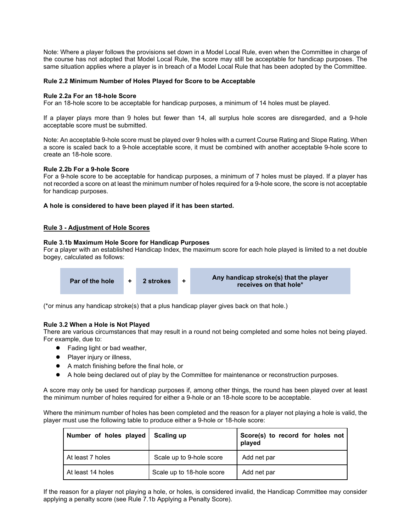Note: Where a player follows the provisions set down in a Model Local Rule, even when the Committee in charge of the course has not adopted that Model Local Rule, the score may still be acceptable for handicap purposes. The same situation applies where a player is in breach of a Model Local Rule that has been adopted by the Committee.

#### **Rule 2.2 Minimum Number of Holes Played for Score to be Acceptable**

#### **Rule 2.2a For an 18-hole Score**

For an 18-hole score to be acceptable for handicap purposes, a minimum of 14 holes must be played.

If a player plays more than 9 holes but fewer than 14, all surplus hole scores are disregarded, and a 9-hole acceptable score must be submitted.

Note: An acceptable 9-hole score must be played over 9 holes with a current Course Rating and Slope Rating. When a score is scaled back to a 9-hole acceptable score, it must be combined with another acceptable 9-hole score to create an 18-hole score.

#### **Rule 2.2b For a 9-hole Score**

For a 9-hole score to be acceptable for handicap purposes, a minimum of 7 holes must be played. If a player has not recorded a score on at least the minimum number of holes required for a 9-hole score, the score is not acceptable for handicap purposes.

#### **A hole is considered to have been played if it has been started.**

#### **Rule 3 - Adjustment of Hole Scores**

# **Rule 3.1b Maximum Hole Score for Handicap Purposes**

For a player with an established Handicap Index, the maximum score for each hole played is limited to a net double bogey, calculated as follows:



(\*or minus any handicap stroke(s) that a plus handicap player gives back on that hole.)

# **Rule 3.2 When a Hole is Not Played**

There are various circumstances that may result in a round not being completed and some holes not being played. For example, due to:

- Fading light or bad weather,
- Player injury or illness,
- A match finishing before the final hole, or
- A hole being declared out of play by the Committee for maintenance or reconstruction purposes.

A score may only be used for handicap purposes if, among other things, the round has been played over at least the minimum number of holes required for either a 9-hole or an 18-hole score to be acceptable.

Where the minimum number of holes has been completed and the reason for a player not playing a hole is valid, the player must use the following table to produce either a 9-hole or 18-hole score:

| Number of holes played | Scaling up                | Score(s) to record for holes not<br>played |
|------------------------|---------------------------|--------------------------------------------|
| At least 7 holes       | Scale up to 9-hole score  | Add net par                                |
| At least 14 holes      | Scale up to 18-hole score | Add net par                                |

If the reason for a player not playing a hole, or holes, is considered invalid, the Handicap Committee may consider applying a penalty score (see Rule [7.1b Applying a Penalty Score\)](https://www.usga.org/content/usga/home-page/handicapping/roh/Content/rules/7%201%20Handicap%20Committee.htm).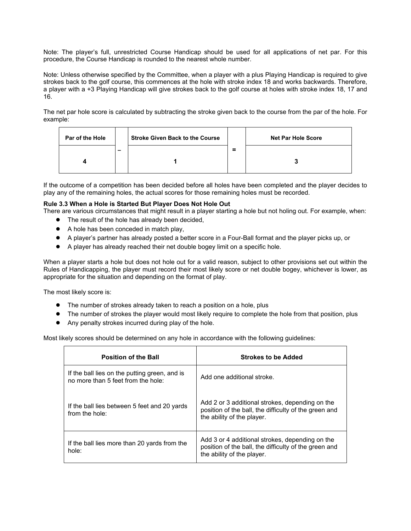Note: The player's full, unrestricted Course Handicap should be used for all applications of net par. For this procedure, the Course Handicap is rounded to the nearest whole number.

Note: Unless otherwise specified by the Committee, when a player with a plus Playing Handicap is required to give strokes back to the golf course, this commences at the hole with stroke index 18 and works backwards. Therefore, a player with a +3 Playing Handicap will give strokes back to the golf course at holes with stroke index 18, 17 and 16.

The net par hole score is calculated by subtracting the stroke given back to the course from the par of the hole. For example:

| Par of the Hole |   | <b>Stroke Given Back to the Course</b> |          | <b>Net Par Hole Score</b> |
|-----------------|---|----------------------------------------|----------|---------------------------|
|                 | - |                                        | $\equiv$ |                           |

If the outcome of a competition has been decided before all holes have been completed and the player decides to play any of the remaining holes, the actual scores for those remaining holes must be recorded.

# **Rule 3.3 When a Hole is Started But Player Does Not Hole Out**

There are various circumstances that might result in a player starting a hole but not holing out. For example, when:

- The result of the hole has already been decided,
- A hole has been conceded in match play,
- A player's partner has already posted a better score in a Four-Ball format and the player picks up, or
- A player has already reached their net double bogey limit on a specific hole.

When a player starts a hole but does not hole out for a valid reason, subject to other provisions set out within the Rules of Handicapping, the player must record their most likely score or net double bogey, whichever is lower, as appropriate for the situation and depending on the format of play.

The most likely score is:

- The number of strokes already taken to reach a position on a hole, plus
- The number of strokes the player would most likely require to complete the hole from that position, plus
- Any penalty strokes incurred during play of the hole.

Most likely scores should be determined on any hole in accordance with the following guidelines:

| <b>Position of the Ball</b>                                                         | <b>Strokes to be Added</b>                                                                                                             |  |  |
|-------------------------------------------------------------------------------------|----------------------------------------------------------------------------------------------------------------------------------------|--|--|
| If the ball lies on the putting green, and is<br>no more than 5 feet from the hole: | Add one additional stroke.                                                                                                             |  |  |
| If the ball lies between 5 feet and 20 yards<br>from the hole:                      | Add 2 or 3 additional strokes, depending on the<br>position of the ball, the difficulty of the green and<br>the ability of the player. |  |  |
| If the ball lies more than 20 yards from the<br>hole:                               | Add 3 or 4 additional strokes, depending on the<br>position of the ball, the difficulty of the green and<br>the ability of the player. |  |  |